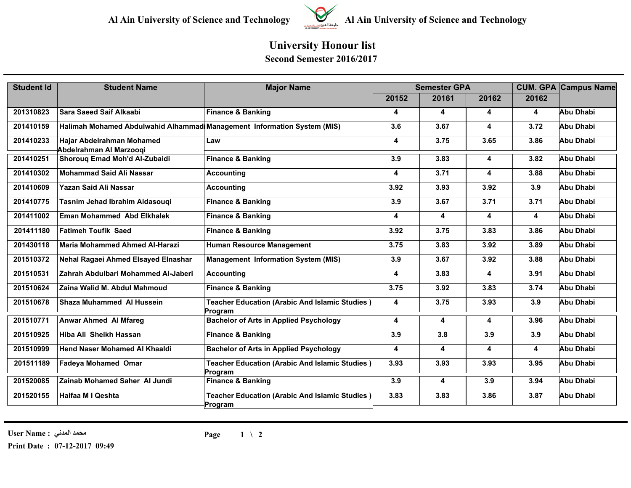

## **Al Ain University of Science and Technology Al Ain University of Science and Technology**

## **University Honour list Second Semester 2016/2017**

| <b>Student Id</b> | <b>Student Name</b>                                                     | <b>Major Name</b>                                                | <b>Semester GPA</b>     |       |                         |       | <b>CUM. GPA Campus Name</b> |
|-------------------|-------------------------------------------------------------------------|------------------------------------------------------------------|-------------------------|-------|-------------------------|-------|-----------------------------|
|                   |                                                                         |                                                                  | 20152                   | 20161 | 20162                   | 20162 |                             |
| 201310823         | <b>Sara Saeed Saif Alkaabi</b>                                          | <b>Finance &amp; Banking</b>                                     | 4                       | 4     | $\overline{\mathbf{4}}$ | 4     | Abu Dhabi                   |
| 201410159         | Halimah Mohamed Abdulwahid Alhammad Management Information System (MIS) |                                                                  | 3.6                     | 3.67  | 4                       | 3.72  | Abu Dhabi                   |
| 201410233         | Hajar Abdelrahman Mohamed<br>Abdelrahman Al Marzooqi                    | Law                                                              | $\overline{\mathbf{4}}$ | 3.75  | 3.65                    | 3.86  | Abu Dhabi                   |
| 201410251         | Shorouq Emad Moh'd Al-Zubaidi                                           | <b>Finance &amp; Banking</b>                                     | 3.9                     | 3.83  | 4                       | 3.82  | Abu Dhabi                   |
| 201410302         | <b>Mohammad Said Ali Nassar</b>                                         | <b>Accounting</b>                                                | 4                       | 3.71  | 4                       | 3.88  | Abu Dhabi                   |
| 201410609         | Yazan Said Ali Nassar                                                   | <b>Accounting</b>                                                | 3.92                    | 3.93  | 3.92                    | 3.9   | Abu Dhabi                   |
| 201410775         | Tasnim Jehad Ibrahim Aldasouqi                                          | <b>Finance &amp; Banking</b>                                     | 3.9                     | 3.67  | 3.71                    | 3.71  | Abu Dhabi                   |
| 201411002         | <b>Eman Mohammed Abd Elkhalek</b>                                       | <b>Finance &amp; Banking</b>                                     | $\overline{\mathbf{4}}$ | 4     | 4                       | 4     | Abu Dhabi                   |
| 201411180         | <b>Fatimeh Toufik Saed</b>                                              | <b>Finance &amp; Banking</b>                                     | 3.92                    | 3.75  | 3.83                    | 3.86  | Abu Dhabi                   |
| 201430118         | <b>Maria Mohammed Ahmed Al-Harazi</b>                                   | <b>Human Resource Management</b>                                 | 3.75                    | 3.83  | 3.92                    | 3.89  | Abu Dhabi                   |
| 201510372         | Nehal Ragaei Ahmed Elsayed Elnashar                                     | <b>Management Information System (MIS)</b>                       | 3.9                     | 3.67  | 3.92                    | 3.88  | Abu Dhabi                   |
| 201510531         | Zahrah Abdulbari Mohammed Al-Jaberi                                     | <b>Accounting</b>                                                | 4                       | 3.83  | 4                       | 3.91  | Abu Dhabi                   |
| 201510624         | Zaina Walid M. Abdul Mahmoud                                            | <b>Finance &amp; Banking</b>                                     | 3.75                    | 3.92  | 3.83                    | 3.74  | Abu Dhabi                   |
| 201510678         | <b>Shaza Muhammed Al Hussein</b>                                        | Teacher Education (Arabic And Islamic Studies)<br>Program        | 4                       | 3.75  | 3.93                    | 3.9   | Abu Dhabi                   |
| 201510771         | <b>Anwar Ahmed Al Mfareg</b>                                            | <b>Bachelor of Arts in Applied Psychology</b>                    | 4                       | 4     | 4                       | 3.96  | Abu Dhabi                   |
| 201510925         | Hiba Ali Sheikh Hassan                                                  | <b>Finance &amp; Banking</b>                                     | 3.9                     | 3.8   | 3.9                     | 3.9   | Abu Dhabi                   |
| 201510999         | <b>Hend Naser Mohamed AI Khaaldi</b>                                    | <b>Bachelor of Arts in Applied Psychology</b>                    | $\overline{\mathbf{4}}$ | 4     | 4                       | 4     | Abu Dhabi                   |
| 201511189         | <b>Fadeya Mohamed Omar</b>                                              | <b>Teacher Education (Arabic And Islamic Studies)</b><br>Program | 3.93                    | 3.93  | 3.93                    | 3.95  | Abu Dhabi                   |
| 201520085         | <b>Zainab Mohamed Saher Al Jundi</b>                                    | <b>Finance &amp; Banking</b>                                     | 3.9                     | 4     | 3.9                     | 3.94  | <b>Abu Dhabi</b>            |
| 201520155         | Haifaa M I Qeshta                                                       | Teacher Education (Arabic And Islamic Studies)<br>Program        | 3.83                    | 3.83  | 3.86                    | 3.87  | Abu Dhabi                   |

**محمد المدني : Name User**

**Print Date : 07-12-2017 09:49**